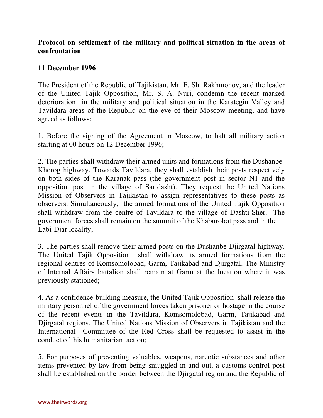## **Protocol on settlement of the military and political situation in the areas of confrontation**

## **11 December 1996**

The President of the Republic of Tajikistan, Mr. E. Sh. Rakhmonov, and the leader of the United Tajik Opposition, Mr. S. A. Nuri, condemn the recent marked deterioration in the military and political situation in the Karategin Valley and Tavildara areas of the Republic on the eve of their Moscow meeting, and have agreed as follows:

1. Before the signing of the Agreement in Moscow, to halt all military action starting at 00 hours on 12 December 1996;

2. The parties shall withdraw their armed units and formations from the Dushanbe-Khorog highway. Towards Tavildara, they shall establish their posts respectively on both sides of the Karanak pass (the government post in sector N1 and the opposition post in the village of Saridasht). They request the United Nations Mission of Observers in Tajikistan to assign representatives to these posts as observers. Simultaneously, the armed formations of the United Tajik Opposition shall withdraw from the centre of Tavildara to the village of Dashti-Sher. The government forces shall remain on the summit of the Khaburobot pass and in the Labi-Djar locality;

3. The parties shall remove their armed posts on the Dushanbe-Djirgatal highway. The United Tajik Opposition shall withdraw its armed formations from the regional centres of Komsomolobad, Garm, Tajikabad and Djirgatal. The Ministry of Internal Affairs battalion shall remain at Garm at the location where it was previously stationed;

4. As a confidence-building measure, the United Tajik Opposition shall release the military personnel of the government forces taken prisoner or hostage in the course of the recent events in the Tavildara, Komsomolobad, Garm, Tajikabad and Djirgatal regions. The United Nations Mission of Observers in Tajikistan and the International Committee of the Red Cross shall be requested to assist in the conduct of this humanitarian action;

5. For purposes of preventing valuables, weapons, narcotic substances and other items prevented by law from being smuggled in and out, a customs control post shall be established on the border between the Djirgatal region and the Republic of